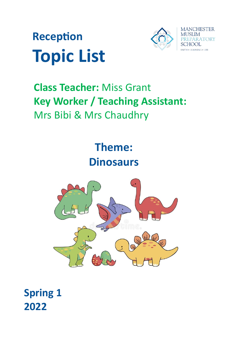



# **Class Teacher:** Miss Grant **Key Worker / Teaching Assistant:** Mrs Bibi & Mrs Chaudhry



**Spring 1 2022**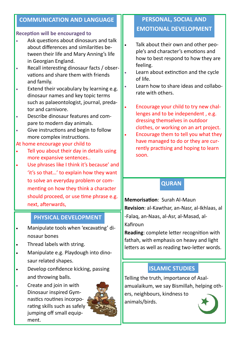#### **COMMUNICATION AND LANGUAGE**

#### **Reception will be encouraged to**

- Ask questions about dinosaurs and talk about differences and similarities between their life and Mary Anning's life in Georgian England.
- Recall interesting dinosaur facts / observations and share them with friends and family.
- Extend their vocabulary by learning e.g. dinosaur names and key topic terms such as palaeontologist, journal, predator and carnivore.
- Describe dinosaur features and compare to modern day animals.
- Give instructions and begin to follow more complex instructions.

#### At home encourage your child to

- Tell you about their day in details using more expansive sentences..
- Use phrases like I think it's because' and 'it's so that…' to explain how they want to solve an everyday problem or commenting on how they think a character should proceed, or use time phrase e.g. next, afterwards,

#### **PHYSICAL DEVELOPMENT**

- Manipulate tools when 'excavating' dinosaur bones
- Thread labels with string.
- Manipulate e.g. Playdough into dinosaur related shapes.
- Develop confidence kicking, passing and throwing balls.
- Create and join in with Dinosaur inspired Gymnastics routines incorporating skills such as safely jumping off small equipment.



## **PERSONAL, SOCIAL AND EMOTIONAL DEVELOPMENT**

- Talk about their own and other people's and character's emotions and how to best respond to how they are feeling.
- Learn about extinction and the cycle of life.
- Learn how to share ideas and collaborate with others.
- Encourage your child to try new challenges and to be independent , e.g. dressing themselves in outdoor clothes, or working on an art project. Encourage them to tell you what they have managed to do or they are currently practising and hoping to learn soon.

## **QURAN**

**Memorisation**: Surah Al-Maun **Revision**: al-Kawthar, an-Nasr, al-Ikhlaas, al -Falaq, an-Naas, al-Asr, al-Masad, al-Kafiroun

**Reading**: complete letter recognition with fathah, with emphasis on heavy and light letters as well as reading two-letter words.

## **ISLAMIC STUDIES**

Telling the truth, importance of Asalamualaikum, we say Bismillah, helping others, neighbours, kindness to animals/birds.